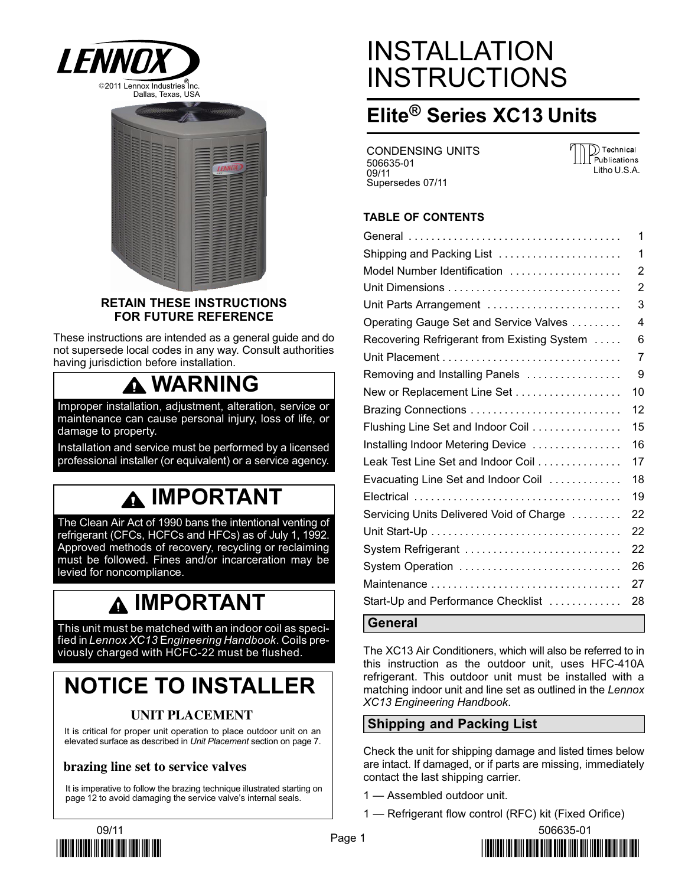



### RETAIN THESE INSTRUCTIONS FOR FUTURE REFERENCE

These instructions are intended as a general guide and do not supersede local codes in any way. Consult authorities having jurisdiction before installation.

# WARNING

Improper installation, adjustment, alteration, service or maintenance can cause personal injury, loss of life, or damage to property.

Installation and service must be performed by a licensed professional installer (or equivalent) or a service agency.

# IMPORTANT

The Clean Air Act of 1990 bans the intentional venting of refrigerant (CFCs, HCFCs and HFCs) as of July 1, 1992. Approved methods of recovery, recycling or reclaiming must be followed. Fines and/or incarceration may be levied for noncompliance.

# IMPORTANT

This unit must be matched with an indoor coil as specified in Lennox XC13 Engineering Handbook. Coils previously charged with HCFC−22 must be flushed.

# NOTICE TO INSTALLER

# **UNIT PLACEMENT**

It is critical for proper unit operation to place outdoor unit on an elevated surface as described in Unit Placement section on page [7.](#page-6-0)

# **brazing line set to service valves**

It is imperative to follow the brazing technique illustrated starting on page [12](#page-11-0) to avoid damaging the service valve's internal seals.

# INSTALLATION **INSTRUCTIONS**

# Elite® Series XC13 Units

CONDENSING UNITS 506635−01 09/11 Supersedes 07/11

D Technical Publications Litho U.S.A.

# TABLE OF CONTENTS

|                                             | 1  |
|---------------------------------------------|----|
| Shipping and Packing List                   | 1  |
| Model Number Identification                 | 2  |
|                                             | 2  |
| Unit Parts Arrangement                      | 3  |
| Operating Gauge Set and Service Valves      | 4  |
| Recovering Refrigerant from Existing System | 6  |
|                                             | 7  |
| Removing and Installing Panels              | 9  |
| New or Replacement Line Set                 | 10 |
|                                             | 12 |
| Flushing Line Set and Indoor Coil           | 15 |
| Installing Indoor Metering Device           | 16 |
| Leak Test Line Set and Indoor Coil          | 17 |
| Evacuating Line Set and Indoor Coil         | 18 |
|                                             | 19 |
| Servicing Units Delivered Void of Charge    | 22 |
|                                             | 22 |
| System Refrigerant                          | 22 |
| System Operation                            | 26 |
|                                             | 27 |
| Start-Up and Performance Checklist          | 28 |
| $\sim$<br>المبر                             |    |

## ⊺General

The XC13 Air Conditioners, which will also be referred to in this instruction as the outdoor unit, uses HFC−410A refrigerant. This outdoor unit must be installed with a matching indoor unit and line set as outlined in the Lennox XC13 Engineering Handbook.

# Shipping and Packing List

Check the unit for shipping damage and listed times below are intact. If damaged, or if parts are missing, immediately contact the last shipping carrier.

- 1 Assembled outdoor unit.
- 1 Refrigerant flow control (RFC) kit (Fixed Orifice)



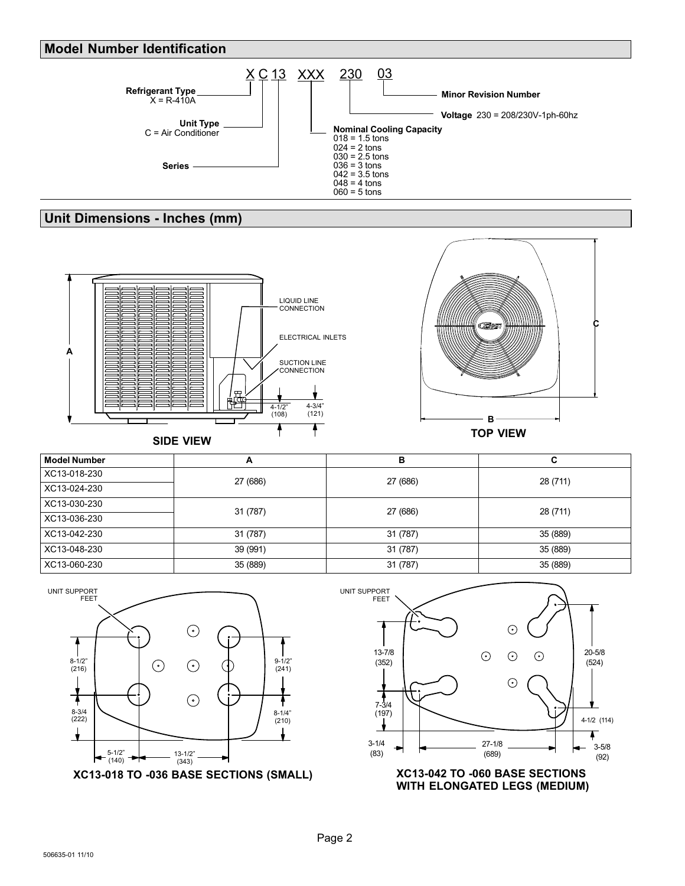### <span id="page-1-0"></span>Model Number Identification



# Unit Dimensions − Inches (mm)





Model Number A B C XC13−018−230 27 (686) 27 (686) 28 (711) XC13−024−230 XC13−030−230 31 (787) 27 (686) 28 (711) XC13−036−230 XC13−042−230 31 (787) 31 (787) 35 (889) XC13−048−230 39 (991) 31 (787) 35 (889) XC13−060−230 35 (889) 31 (787) 35 (889)



WITH ELONGATED LEGS (MEDIUM)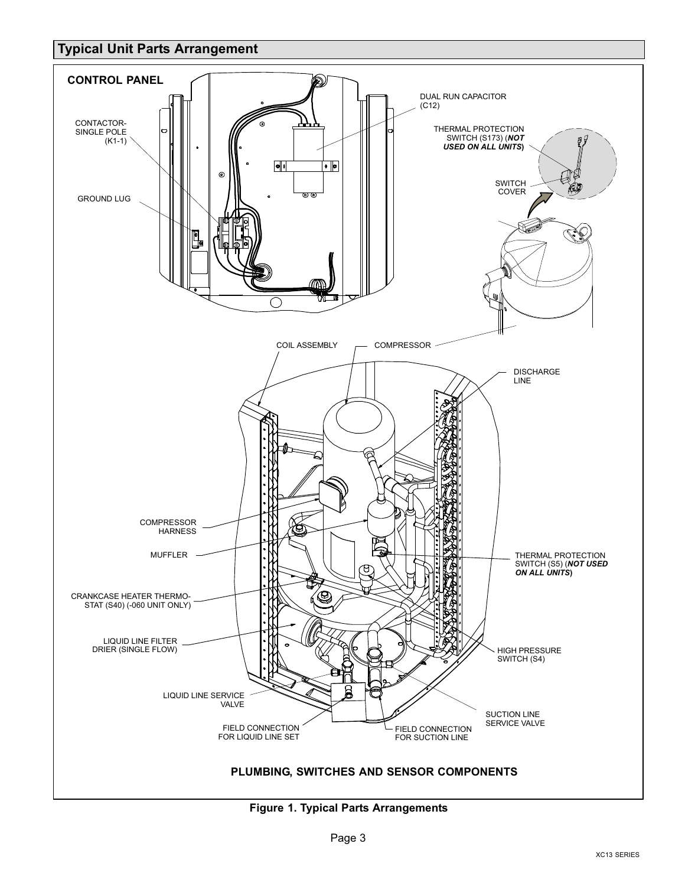# <span id="page-2-0"></span>Typical Unit Parts Arrangement



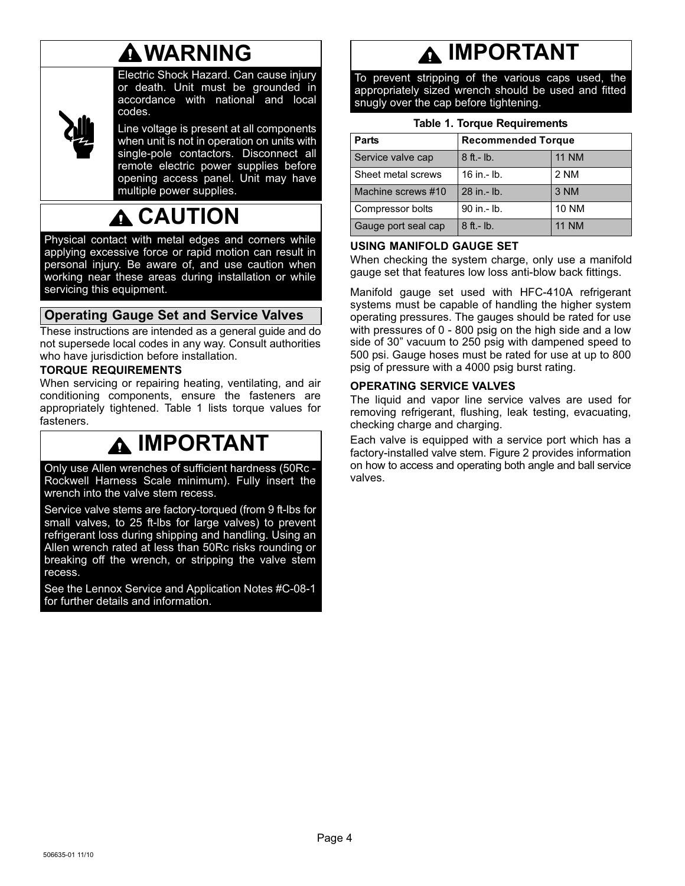# WARNING

<span id="page-3-0"></span>

Electric Shock Hazard. Can cause injury or death. Unit must be grounded in accordance with national and local codes.

Line voltage is present at all components when unit is not in operation on units with single-pole contactors. Disconnect all remote electric power supplies before opening access panel. Unit may have multiple power supplies.

# CAUTION

Physical contact with metal edges and corners while applying excessive force or rapid motion can result in personal injury. Be aware of, and use caution when working near these areas during installation or while servicing this equipment.

# Operating Gauge Set and Service Valves

These instructions are intended as a general guide and do not supersede local codes in any way. Consult authorities who have jurisdiction before installation.

## TORQUE REQUIREMENTS

When servicing or repairing heating, ventilating, and air conditioning components, ensure the fasteners are appropriately tightened. Table 1 lists torque values for fasteners.

# IMPORTANT

Only use Allen wrenches of sufficient hardness (50Rc − Rockwell Harness Scale minimum). Fully insert the wrench into the valve stem recess.

Service valve stems are factory−torqued (from 9 ft−lbs for small valves, to 25 ft−lbs for large valves) to prevent refrigerant loss during shipping and handling. Using an Allen wrench rated at less than 50Rc risks rounding or breaking off the wrench, or stripping the valve stem recess.

See the Lennox Service and Application Notes #C−08−1 for further details and information.

# **A IMPORTANT**

To prevent stripping of the various caps used, the appropriately sized wrench should be used and fitted snugly over the cap before tightening.

| <b>Parts</b>        | <b>Recommended Torque</b> |              |  |  |  |
|---------------------|---------------------------|--------------|--|--|--|
| Service valve cap   | $8$ ft. - lb.             | <b>11 NM</b> |  |  |  |
| Sheet metal screws  | 16 in $-$ lb.             | 2 NM         |  |  |  |
| Machine screws #10  | 28 in .- lb.              | 3 NM         |  |  |  |
| Compressor bolts    | 90 in .- lb.              | <b>10 NM</b> |  |  |  |
| Gauge port seal cap | $8$ ft.- lb.              | <b>11 NM</b> |  |  |  |

### USING MANIFOLD GAUGE SET

When checking the system charge, only use a manifold gauge set that features low loss anti−blow back fittings.

Manifold gauge set used with HFC−410A refrigerant systems must be capable of handling the higher system operating pressures. The gauges should be rated for use with pressures of 0 - 800 psig on the high side and a low side of 30" vacuum to 250 psig with dampened speed to 500 psi. Gauge hoses must be rated for use at up to 800 psig of pressure with a 4000 psig burst rating.

### OPERATING SERVICE VALVES

The liquid and vapor line service valves are used for removing refrigerant, flushing, leak testing, evacuating, checking charge and charging.

Each valve is equipped with a service port which has a factory−installed valve stem. Figure [2](#page-4-0) provides information on how to access and operating both angle and ball service valves.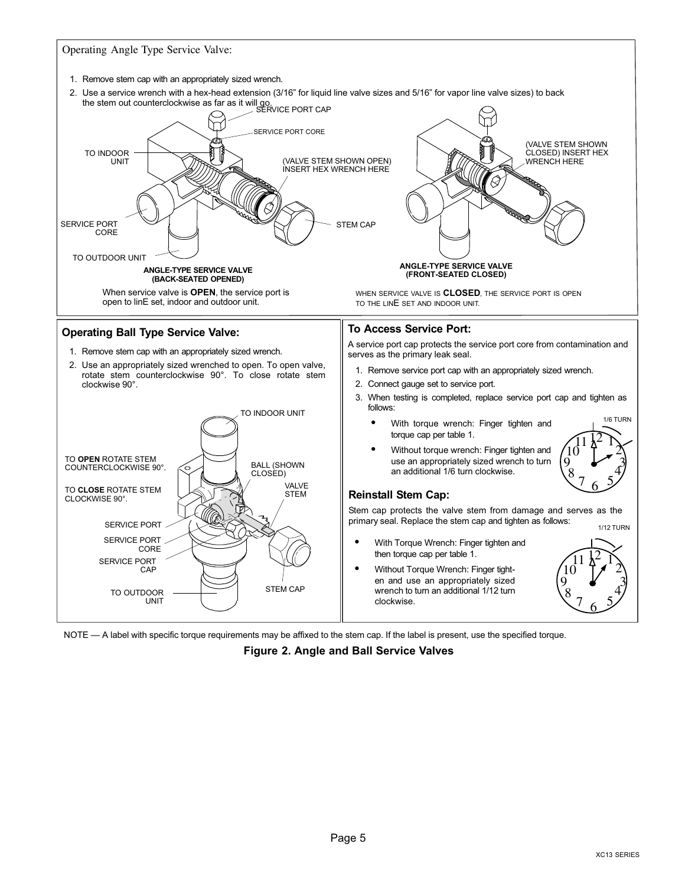<span id="page-4-0"></span>

<code>NOTE</code> — A label with specific torque requirements may be affixed to the stem cap. If the label is present, use the specified torque.

Figure 2. Angle and Ball Service Valves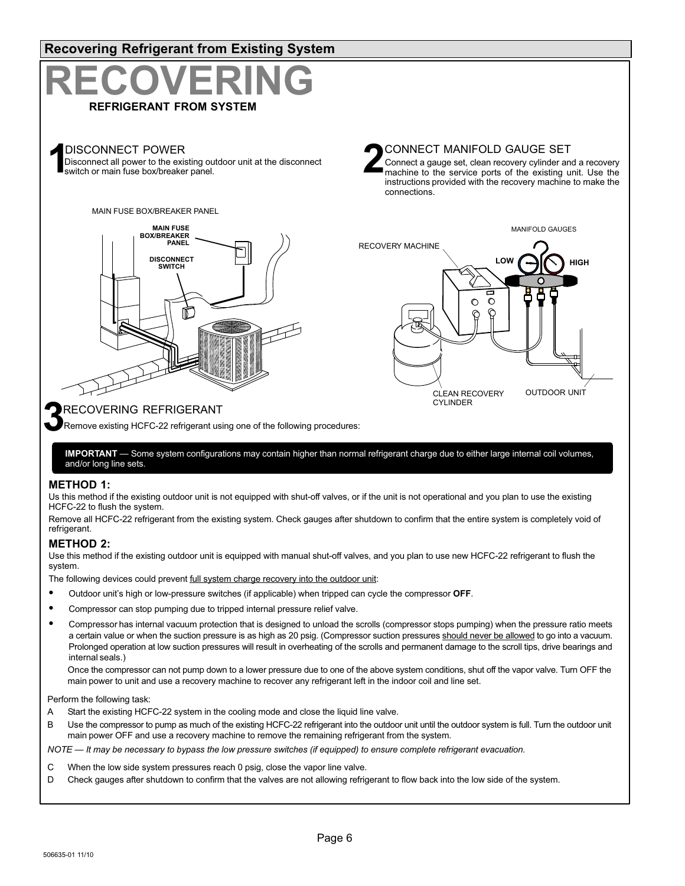<span id="page-5-0"></span>

Use this method if the existing outdoor unit is equipped with manual shut−off valves, and you plan to use new HCFC−22 refrigerant to flush the system.

The following devices could prevent full system charge recovery into the outdoor unit:

- Outdoor unit's high or low-pressure switches (if applicable) when tripped can cycle the compressor OFF.
- Compressor can stop pumping due to tripped internal pressure relief valve.
- Compressor has internal vacuum protection that is designed to unload the scrolls (compressor stops pumping) when the pressure ratio meets a certain value or when the suction pressure is as high as 20 psig. (Compressor suction pressures should never be allowed to go into a vacuum. Prolonged operation at low suction pressures will result in overheating of the scrolls and permanent damage to the scroll tips, drive bearings and internal seals.)

Once the compressor can not pump down to a lower pressure due to one of the above system conditions, shut off the vapor valve. Turn OFF the main power to unit and use a recovery machine to recover any refrigerant left in the indoor coil and line set.

Perform the following task:

- A Start the existing HCFC−22 system in the cooling mode and close the liquid line valve.
- B Use the compressor to pump as much of the existing HCFC-22 refrigerant into the outdoor unit until the outdoor system is full. Turn the outdoor unit main power OFF and use a recovery machine to remove the remaining refrigerant from the system.

NOTE — It may be necessary to bypass the low pressure switches (if equipped) to ensure complete refrigerant evacuation.

- C When the low side system pressures reach 0 psig, close the vapor line valve.
- D Check gauges after shutdown to confirm that the valves are not allowing refrigerant to flow back into the low side of the system.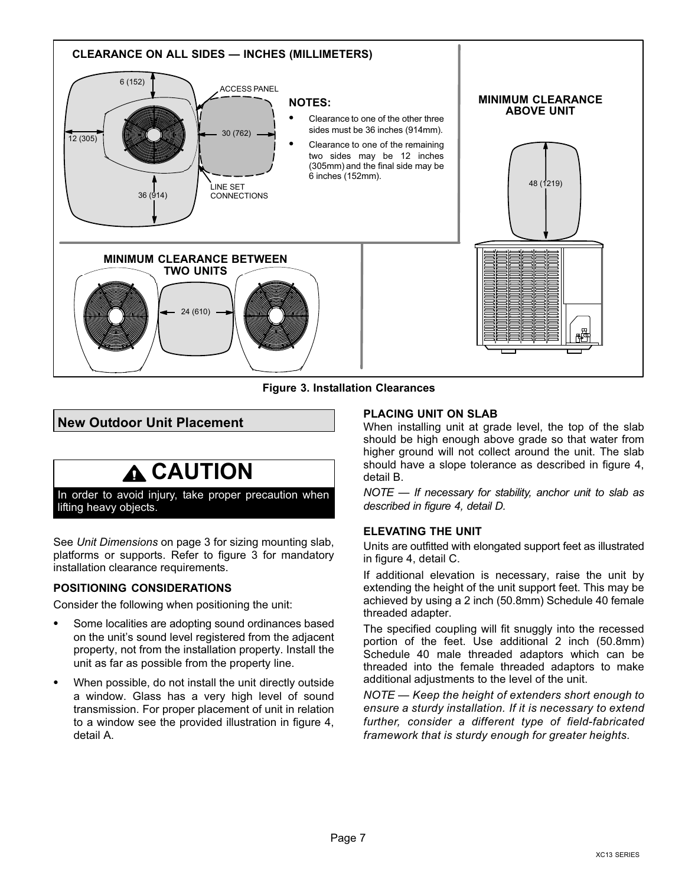<span id="page-6-0"></span>

Figure 3. Installation Clearances

# New Outdoor Unit Placement

# **A CAUTION**

In order to avoid injury, take proper precaution when lifting heavy objects.

See Unit Dimensions on page 3 for sizing mounting slab, platforms or supports. Refer to figure 3 for mandatory installation clearance requirements.

### POSITIONING CONSIDERATIONS

Consider the following when positioning the unit:

- Some localities are adopting sound ordinances based on the unit's sound level registered from the adjacent property, not from the installation property. Install the unit as far as possible from the property line.
- When possible, do not install the unit directly outside a window. Glass has a very high level of sound transmission. For proper placement of unit in relation to a window see the provided illustration in figure [4,](#page-7-0) detail A.

### PLACING UNIT ON SLAB

When installing unit at grade level, the top of the slab should be high enough above grade so that water from higher ground will not collect around the unit. The slab should have a slope tolerance as described in figure [4](#page-7-0), detail B.

NOTE — If necessary for stability, anchor unit to slab as described in figure [4,](#page-7-0) detail D.

### ELEVATING THE UNIT

Units are outfitted with elongated support feet as illustrated in figure [4,](#page-7-0) detail C.

If additional elevation is necessary, raise the unit by extending the height of the unit support feet. This may be achieved by using a 2 inch (50.8mm) Schedule 40 female threaded adapter.

The specified coupling will fit snuggly into the recessed portion of the feet. Use additional 2 inch (50.8mm) Schedule 40 male threaded adaptors which can be threaded into the female threaded adaptors to make additional adjustments to the level of the unit.

NOTE — Keep the height of extenders short enough to ensure a sturdy installation. If it is necessary to extend further, consider a different type of field−fabricated framework that is sturdy enough for greater heights.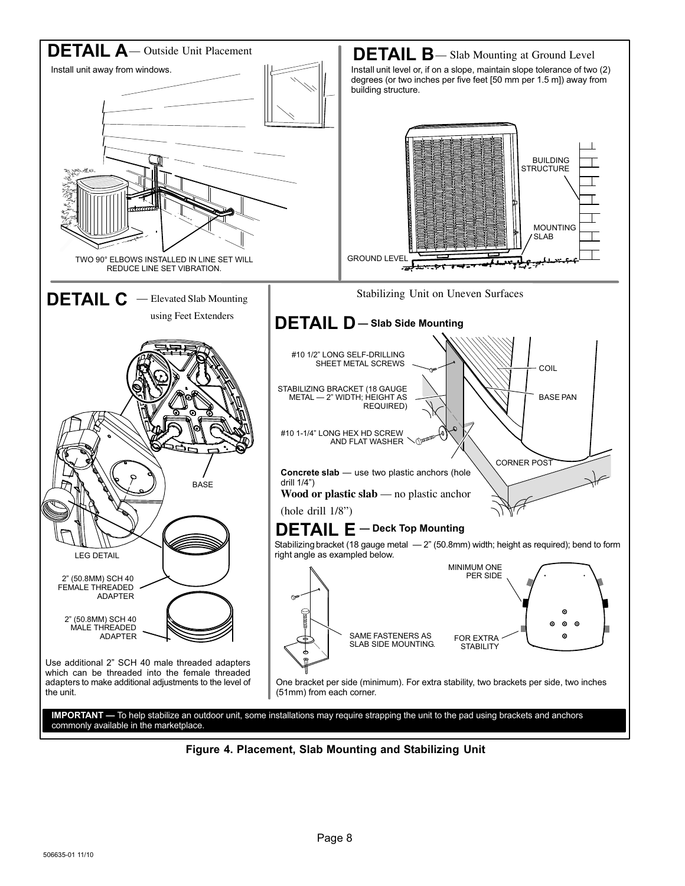<span id="page-7-0"></span>

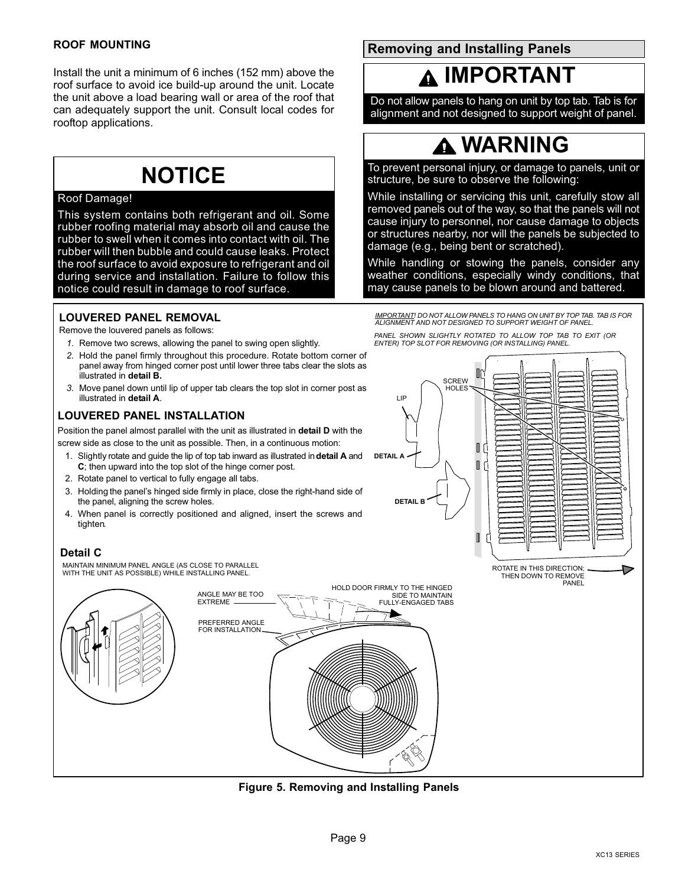#### <span id="page-8-0"></span>ROOF MOUNTING

Install the unit a minimum of 6 inches (152 mm) above the roof surface to avoid ice build−up around the unit. Locate the unit above a load bearing wall or area of the roof that can adequately support the unit. Consult local codes for rooftop applications.

# **NOTICE**

### Roof Damage!

This system contains both refrigerant and oil. Some rubber roofing material may absorb oil and cause the rubber to swell when it comes into contact with oil. The rubber will then bubble and could cause leaks. Protect the roof surface to avoid exposure to refrigerant and oil during service and installation. Failure to follow this notice could result in damage to roof surface.

### LOUVERED PANEL REMOVAL

Remove the louvered panels as follows:

- 1. Remove two screws, allowing the panel to swing open slightly.
- 2. Hold the panel firmly throughout this procedure. Rotate bottom corner of panel away from hinged corner post until lower three tabs clear the slots as illustrated in detail B.
- 3. Move panel down until lip of upper tab clears the top slot in corner post as illustrated in detail A.

### LOUVERED PANEL INSTALLATION

Position the panel almost parallel with the unit as illustrated in detail D with the screw side as close to the unit as possible. Then, in a continuous motion:

- 1. Slightly rotate and guide the lip of top tab inward as illustrated in detail A and C; then upward into the top slot of the hinge corner post.
- 2. Rotate panel to vertical to fully engage all tabs.
- 3. Holding the panel's hinged side firmly in place, close the right−hand side of the panel, aligning the screw holes.
- 4. When panel is correctly positioned and aligned, insert the screws and tighten.

#### Detail C

MAINTAIN MINIMUM PANEL ANGLE (AS CLOSE TO PARALLEL WITH THE UNIT AS POSSIBLE) WHILE INSTALLING PANEL.



Figure 5. Removing and Installing Panels

Removing and Installing Panels

# IMPORTANT

Do not allow panels to hang on unit by top tab. Tab is for alignment and not designed to support weight of panel.

# WARNING

To prevent personal injury, or damage to panels, unit or structure, be sure to observe the following:

While installing or servicing this unit, carefully stow all removed panels out of the way, so that the panels will not cause injury to personnel, nor cause damage to objects or structures nearby, nor will the panels be subjected to damage (e.g., being bent or scratched).

While handling or stowing the panels, consider any weather conditions, especially windy conditions, that may cause panels to be blown around and battered.

IMPORTANT! DO NOT ALLOW PANELS TO HANG ON UNIT BY TOP TAB. TAB IS FOR ALIGNMENT AND NOT DESIGNED TO SUPPORT WEIGHT OF PANEL.

PANEL SHOWN SLIGHTLY ROTATED TO ALLOW TOP TAB TO EXIT (OR ENTER) TOP SLOT FOR REMOVING (OR INSTALLING) PANEL.

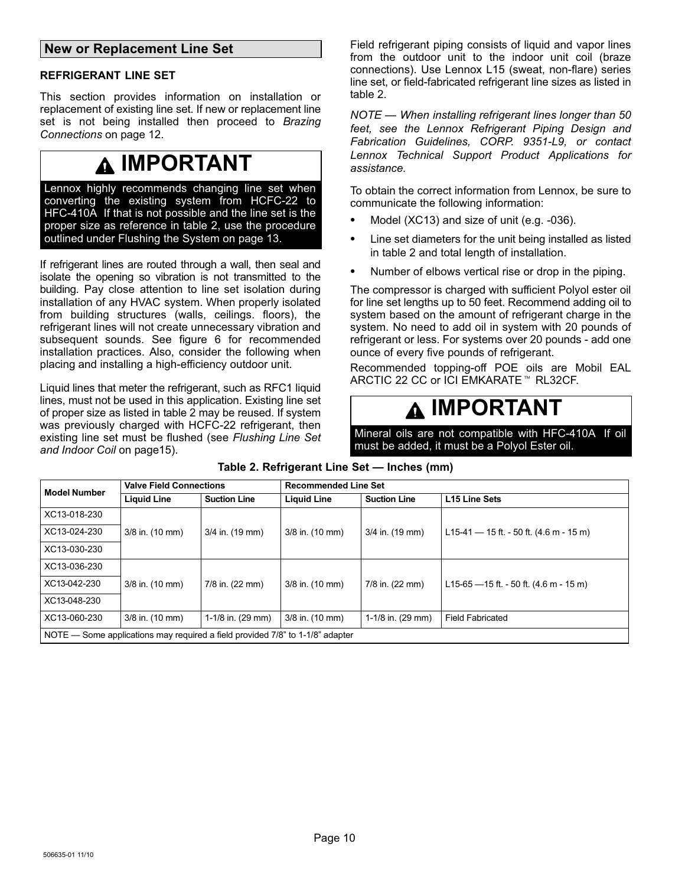### <span id="page-9-0"></span>New or Replacement Line Set

#### REFRIGERANT LINE SET

This section provides information on installation or replacement of existing line set. If new or replacement line set is not being installed then proceed to Brazing Connections on page [12.](#page-11-0)

# IMPORTANT

Lennox highly recommends changing line set when converting the existing system from HCFC−22 to HFC-410A. If that is not possible and the line set is the proper size as reference in table 2, use the procedure outlined under Flushing the System on page 13.

If refrigerant lines are routed through a wall, then seal and isolate the opening so vibration is not transmitted to the building. Pay close attention to line set isolation during installation of any HVAC system. When properly isolated from building structures (walls, ceilings. floors), the refrigerant lines will not create unnecessary vibration and subsequent sounds. See figure [6](#page-10-0) for recommended installation practices. Also, consider the following when placing and installing a high−efficiency outdoor unit.

Liquid lines that meter the refrigerant, such as RFC1 liquid lines, must not be used in this application. Existing line set of proper size as listed in table 2 may be reused. If system was previously charged with HCFC-22 refrigerant, then existing line set must be flushed (see Flushing Line Set and Indoor Coil on pag[e15](#page-14-0)).

Field refrigerant piping consists of liquid and vapor lines from the outdoor unit to the indoor unit coil (braze connections). Use Lennox L15 (sweat, non−flare) series line set, or field−fabricated refrigerant line sizes as listed in table 2.

NOTE — When installing refrigerant lines longer than 50 feet, see the Lennox Refrigerant Piping Design and Fabrication Guidelines, CORP. 9351−L9, or contact Lennox Technical Support Product Applications for assistance.

To obtain the correct information from Lennox, be sure to communicate the following information:

- Model (XC13) and size of unit (e.g. −036).
- Line set diameters for the unit being installed as listed in table 2 and total length of installation.
- Number of elbows vertical rise or drop in the piping.

The compressor is charged with sufficient Polyol ester oil for line set lengths up to 50 feet. Recommend adding oil to system based on the amount of refrigerant charge in the system. No need to add oil in system with 20 pounds of refrigerant or less. For systems over 20 pounds − add one ounce of every five pounds of refrigerant.

Recommended topping−off POE oils are Mobil EAL ARCTIC 22 CC or ICI EMKARATE™ RL32CF.

# IMPORTANT

Mineral oils are not compatible with HFC−410A. If oil must be added, it must be a Polyol Ester oil.

| <b>Model Number</b> | <b>Valve Field Connections</b>                                                |                             | <b>Recommended Line Set</b> |                     |                                           |  |  |  |  |  |
|---------------------|-------------------------------------------------------------------------------|-----------------------------|-----------------------------|---------------------|-------------------------------------------|--|--|--|--|--|
|                     | <b>Liquid Line</b>                                                            | <b>Suction Line</b>         | <b>Liquid Line</b>          | <b>Suction Line</b> | L15 Line Sets                             |  |  |  |  |  |
| XC13-018-230        |                                                                               |                             |                             |                     |                                           |  |  |  |  |  |
| XC13-024-230        | 3/8 in. (10 mm)                                                               | 3/4 in. (19 mm)             | 3/8 in. (10 mm)             | 3/4 in. (19 mm)     | L15-41 $-$ 15 ft. - 50 ft. (4.6 m - 15 m) |  |  |  |  |  |
| XC13-030-230        |                                                                               |                             |                             |                     |                                           |  |  |  |  |  |
| XC13-036-230        |                                                                               |                             |                             |                     |                                           |  |  |  |  |  |
| XC13-042-230        | 3/8 in. (10 mm)                                                               | 7/8 in. (22 mm)             | 3/8 in. (10 mm)             | 7/8 in. (22 mm)     | L15-65 $-15$ ft. - 50 ft. (4.6 m - 15 m)  |  |  |  |  |  |
| XC13-048-230        |                                                                               |                             |                             |                     |                                           |  |  |  |  |  |
| XC13-060-230        | 3/8 in. (10 mm)                                                               | 1-1/8 in. $(29 \text{ mm})$ | 3/8 in. (10 mm)             | 1-1/8 in. (29 mm)   | <b>Field Fabricated</b>                   |  |  |  |  |  |
|                     | NOTE — Some applications may required a field provided 7/8" to 1-1/8" adapter |                             |                             |                     |                                           |  |  |  |  |  |

Table 2. Refrigerant Line Set — Inches (mm)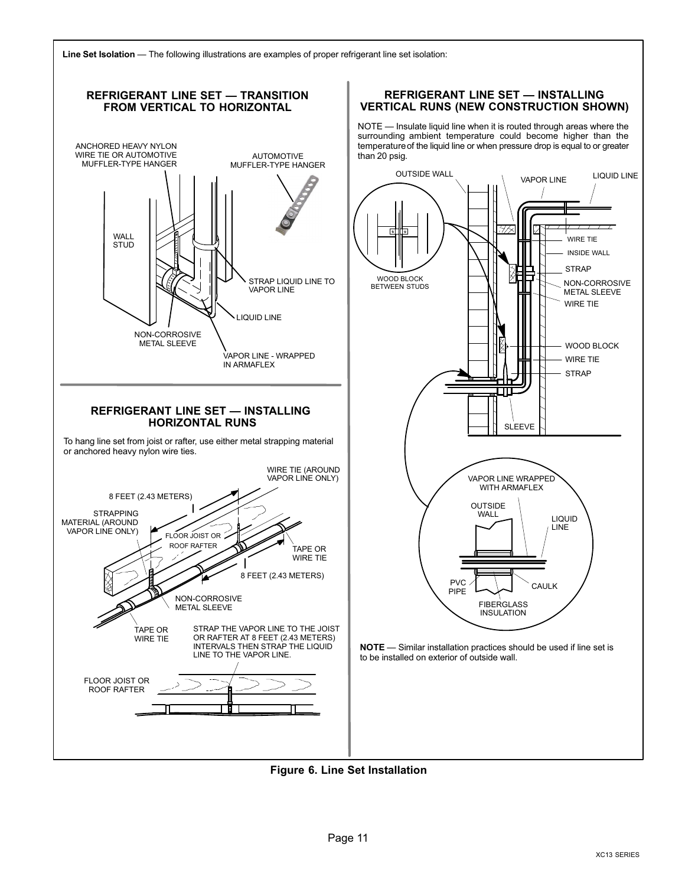<span id="page-10-0"></span>



Figure 6. Line Set Installation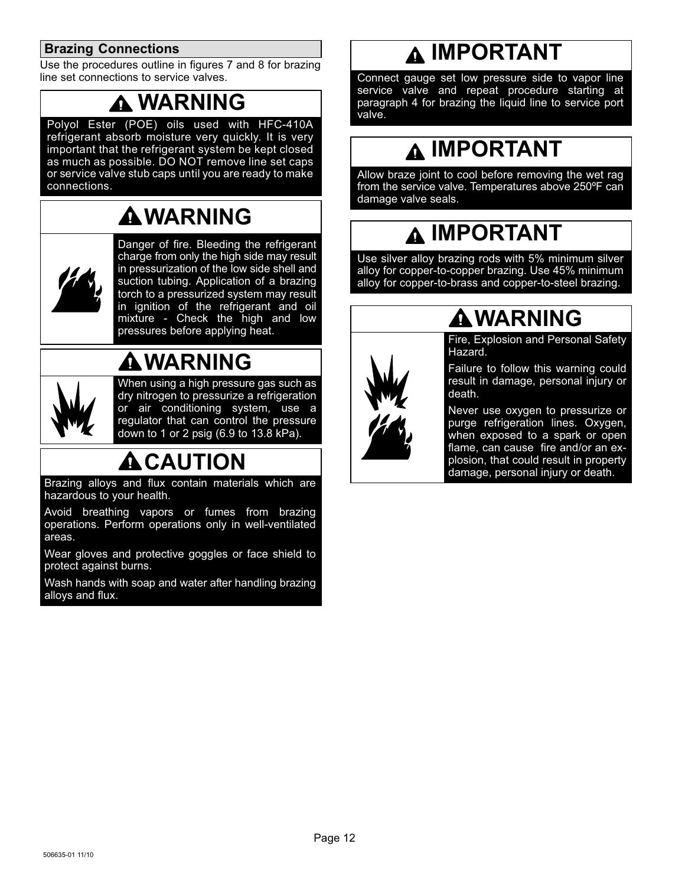# <span id="page-11-0"></span>Brazing Connections

Use the procedures outline in figures [7](#page-12-0) and [8](#page-13-0) for brazing line set connections to service valves.

# WARNING

Polyol Ester (POE) oils used with HFC−410A refrigerant absorb moisture very quickly. It is very important that the refrigerant system be kept closed as much as possible. DO NOT remove line set caps or service valve stub caps until you are ready to make connections.

# WARNING



Danger of fire. Bleeding the refrigerant charge from only the high side may result in pressurization of the low side shell and suction tubing. Application of a brazing torch to a pressurized system may result in ignition of the refrigerant and oil mixture - Check the high and low pressures before applying heat.



WARNING

When using a high pressure gas such as dry nitrogen to pressurize a refrigeration or air conditioning system, use a regulator that can control the pressure down to 1 or 2 psig (6.9 to 13.8 kPa).

# **A** CAUTION

Brazing alloys and flux contain materials which are hazardous to your health.

Avoid breathing vapors or fumes from brazing operations. Perform operations only in well−ventilated areas.

Wear gloves and protective goggles or face shield to protect against burns.

Wash hands with soap and water after handling brazing alloys and flux.

# **A IMPORTANT**

Connect gauge set low pressure side to vapor line service valve and repeat procedure starting at paragraph 4 for brazing the liquid line to service port valve.

# **A IMPORTANT**

Allow braze joint to cool before removing the wet rag from the service valve. Temperatures above 250ºF can damage valve seals.

# IMPORTANT

Use silver alloy brazing rods with 5% minimum silver alloy for copper−to−copper brazing. Use 45% minimum alloy for copper−to−brass and copper−to−steel brazing.



# WARNING

Fire, Explosion and Personal Safety Hazard.

Failure to follow this warning could result in damage, personal injury or death.

Never use oxygen to pressurize or purge refrigeration lines. Oxygen, when exposed to a spark or open flame, can cause fire and/or an explosion, that could result in property damage, personal injury or death.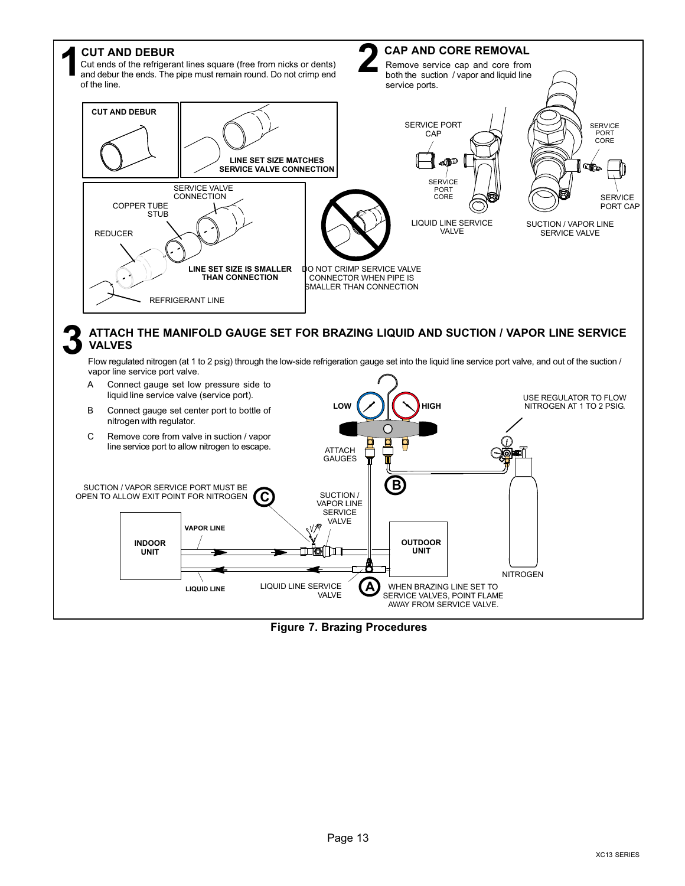<span id="page-12-0"></span>

Figure 7. Brazing Procedures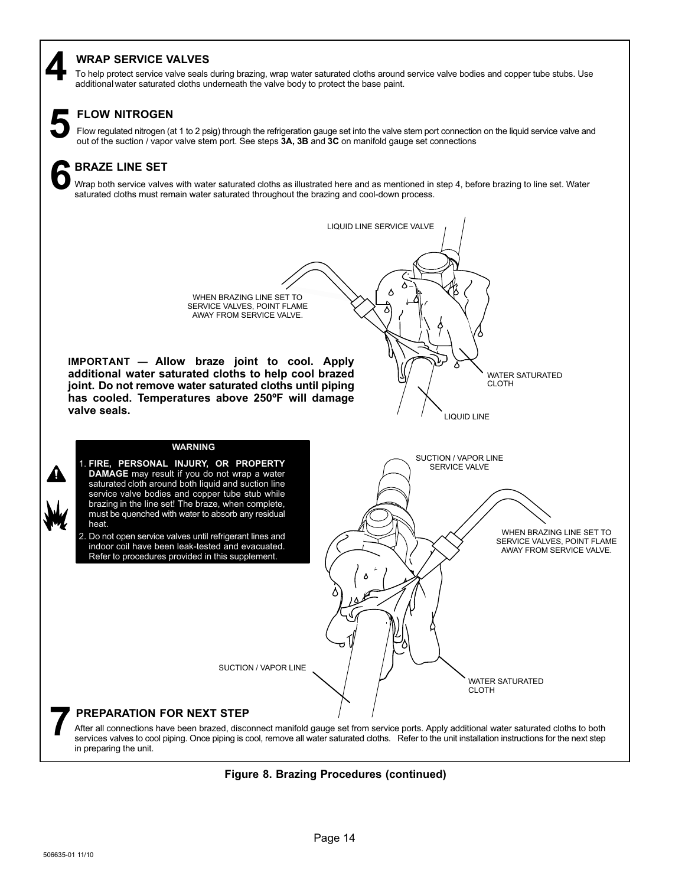# <span id="page-13-0"></span>WRAP SERVICE VALVES

To help protect service valve seals during brazing, wrap water saturated cloths around service valve bodies and copper tube stubs. Use 4 additional water saturated cloths underneath the valve body to protect the base paint.

# FLOW NITROGEN

Flow regulated nitrogen (at 1 to 2 psig) through the refrigeration gauge set into the valve stem port connection on the liquid service valve and out of the suction / vapor valve and out of the suction / vapor valve stem po

# BRAZE LINE SET 6

Wrap both service valves with water saturated cloths as illustrated here and as mentioned in step 4, before brazing to line set. Water saturated cloths must remain water saturated throughout the brazing and cool−down process.

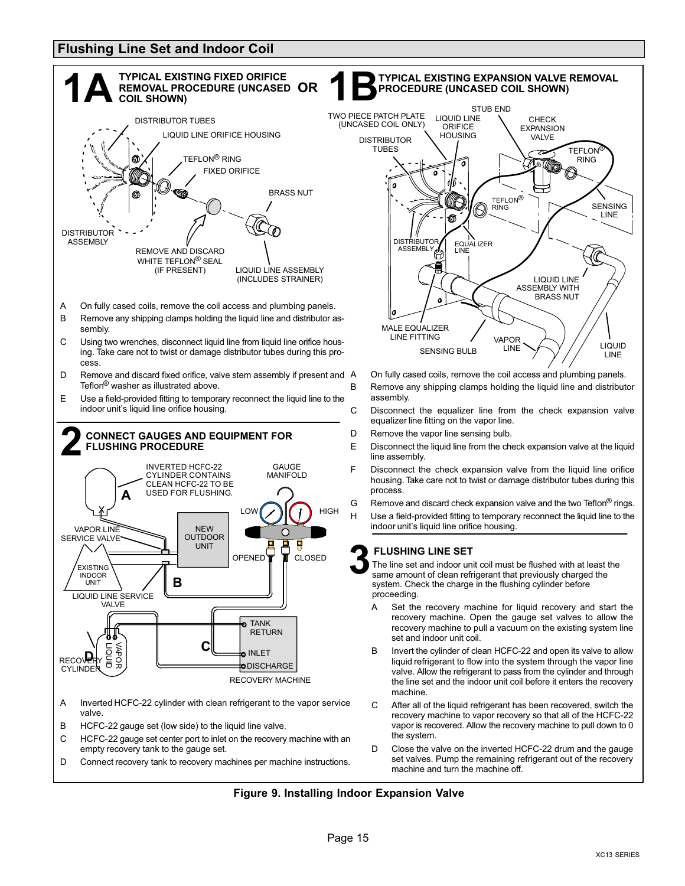# <span id="page-14-0"></span>Flushing Line Set and Indoor Coil





- On fully cased coils, remove the coil access and plumbing panels. B Remove any shipping clamps holding the liquid line and distributor assembly.
- C Disconnect the equalizer line from the check expansion valve equalizer line fitting on the vapor line.
- D Remove the vapor line sensing bulb.
- E Disconnect the liquid line from the check expansion valve at the liquid line assembly.
- F Disconnect the check expansion valve from the liquid line orifice housing. Take care not to twist or damage distributor tubes during this process.
- G Remove and discard check expansion valve and the two Teflon<sup>®</sup> rings. H Use a field−provided fitting to temporary reconnect the liquid line to the indoor unit's liquid line orifice housing.

### FLUSHING LINE SET

The line set and indoor unit coil must be flushed with at least the same amount of clean refrigerant that previously charged the system. Check the charge in the flushing cylinder before proceeding.

- recovery machine to pull a vacuum on the existing system line A Set the recovery machine for liquid recovery and start the recovery machine. Open the gauge set valves to allow the set and indoor unit coil.
- B Invert the cylinder of clean HCFC−22 and open its valve to allow liquid refrigerant to flow into the system through the vapor line valve. Allow the refrigerant to pass from the cylinder and through the line set and the indoor unit coil before it enters the recovery machine.
- C After all of the liquid refrigerant has been recovered, switch the recovery machine to vapor recovery so that all of the HCFC−22 vapor is recovered. Allow the recovery machine to pull down to 0 the system.
- D Close the valve on the inverted HCFC−22 drum and the gauge set valves. Pump the remaining refrigerant out of the recovery machine and turn the machine off.

#### Figure 9. Installing Indoor Expansion Valve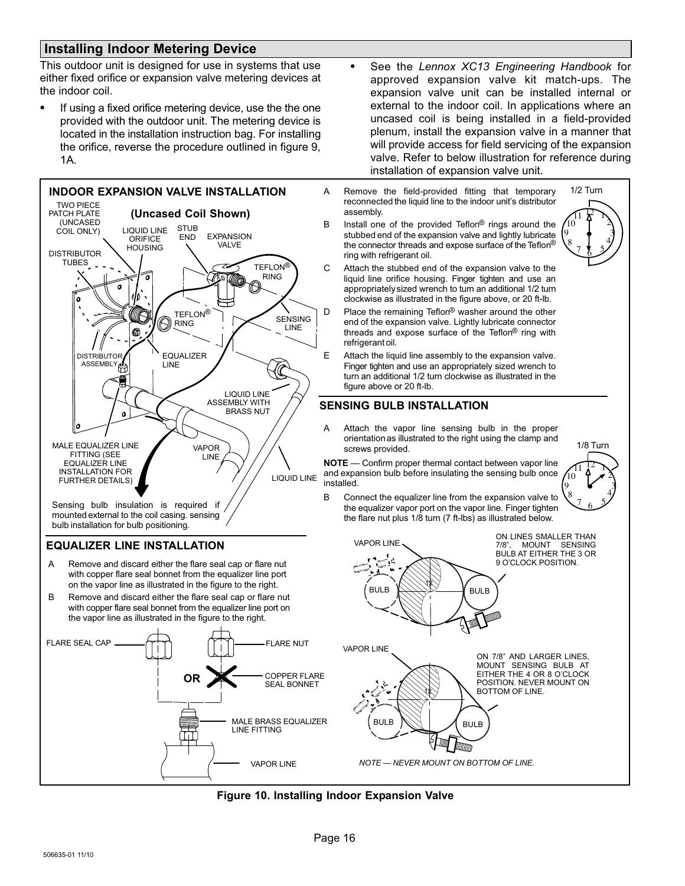# <span id="page-15-0"></span>Installing Indoor Metering Device

This outdoor unit is designed for use in systems that use either fixed orifice or expansion valve metering devices at the indoor coil.

 If using a fixed orifice metering device, use the the one provided with the outdoor unit. The metering device is located in the installation instruction bag. For installing the orifice, reverse the procedure outlined in figure [9,](#page-14-0) 1A.



mounted external to the coil casing. sensing bulb installation for bulb positioning.

### EQUALIZER LINE INSTALLATION

- A Remove and discard either the flare seal cap or flare nut with copper flare seal bonnet from the equalizer line port on the vapor line as illustrated in the figure to the right.
- B Remove and discard either the flare seal cap or flare nut with copper flare seal bonnet from the equalizer line port on the vapor line as illustrated in the figure to the right.



- See the Lennox XC13 Engineering Handbook for approved expansion valve kit match−ups. The expansion valve unit can be installed internal or external to the indoor coil. In applications where an uncased coil is being installed in a field−provided plenum, install the expansion valve in a manner that will provide access for field servicing of the expansion valve. Refer to below illustration for reference during installation of expansion valve unit.
- A Remove the field−provided fitting that temporary reconnected the liquid line to the indoor unit's distributor assembly.
- B Install one of the provided Teflon<sup>®</sup> rings around the stubbed end of the expansion valve and lightly lubricate the connector threads and expose surface of the Teflon® ring with refrigerant oil.



- C Attach the stubbed end of the expansion valve to the liquid line orifice housing. Finger tighten and use an appropriately sized wrench to turn an additional 1/2 turn clockwise as illustrated in the figure above, or 20 ft−lb.
- D Place the remaining Teflon<sup>®</sup> washer around the other end of the expansion valve. Lightly lubricate connector threads and expose surface of the Teflon® ring with refrigerant oil.
- E Attach the liquid line assembly to the expansion valve. Finger tighten and use an appropriately sized wrench to turn an additional 1/2 turn clockwise as illustrated in the figure above or 20 ft−lb.

### SENSING BULB INSTALLATION

A Attach the vapor line sensing bulb in the proper orientation as illustrated to the right using the clamp and screws provided.

**NOTE** — Confirm proper thermal contact between vapor line and expansion bulb before insulating the sensing bulb once installed.



B Connect the equalizer line from the expansion valve to the equalizer vapor port on the vapor line. Finger tighten the flare nut plus 1/8 turn (7 ft−lbs) as illustrated below.



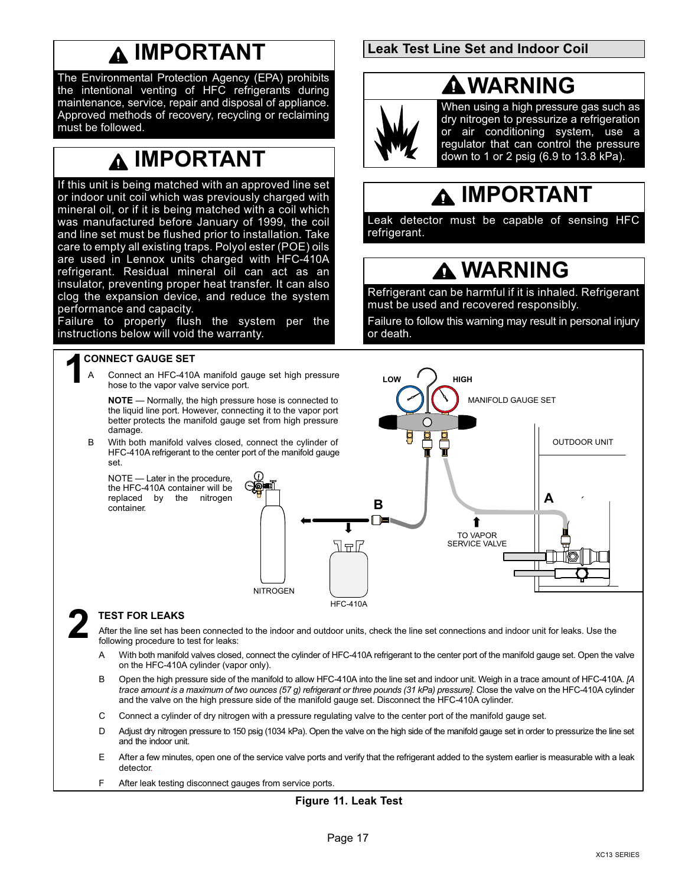# IMPORTANT

<span id="page-16-0"></span>The Environmental Protection Agency (EPA) prohibits the intentional venting of HFC refrigerants during maintenance, service, repair and disposal of appliance. Approved methods of recovery, recycling or reclaiming must be followed.

# IMPORTANT

If this unit is being matched with an approved line set or indoor unit coil which was previously charged with mineral oil, or if it is being matched with a coil which was manufactured before January of 1999, the coil and line set must be flushed prior to installation. Take care to empty all existing traps. Polyol ester (POE) oils are used in Lennox units charged with HFC−410A refrigerant. Residual mineral oil can act as an insulator, preventing proper heat transfer. It can also clog the expansion device, and reduce the system performance and capacity.

Failure to properly flush the system per the instructions below will void the warranty.

# 1 CONNECT GAUGE SET

Connect an HFC-410A manifold gauge set high pressure hose to the vapor valve service port.

**NOTE** — Normally, the high pressure hose is connected to the liquid line port. However, connecting it to the vapor port better protects the manifold gauge set from high pressure damage.

B With both manifold valves closed, connect the cylinder of HFC−410A refrigerant to the center port of the manifold gauge set.

NOTE - Later in the procedure, the HFC−410A container will be replaced by the nitrogen container.



# **TEST FOR LEAKS**

After the line set has been connected to the indoor and outdoor units, check the line set connections and indoor unit for leaks. Use the following procedure to test for leaks:

HFC−410A

- A With both manifold valves closed, connect the cylinder of HFC−410A refrigerant to the center port of the manifold gauge set. Open the valve on the HFC−410A cylinder (vapor only).
- B Open the high pressure side of the manifold to allow HFC−410A into the line set and indoor unit. Weigh in a trace amount of HFC−410A. [A trace amount is a maximum of two ounces (57 g) refrigerant or three pounds (31 kPa) pressure]. Close the valve on the HFC−410A cylinder and the valve on the high pressure side of the manifold gauge set. Disconnect the HFC−410A cylinder.
- C Connect a cylinder of dry nitrogen with a pressure regulating valve to the center port of the manifold gauge set.
- D Adjust dry nitrogen pressure to 150 psig (1034 kPa). Open the valve on the high side of the manifold gauge set in order to pressurize the line set and the indoor unit.
- E After a few minutes, open one of the service valve ports and verify that the refrigerant added to the system earlier is measurable with a leak detector.
- F After leak testing disconnect gauges from service ports.

## Figure 11. Leak Test

### Leak Test Line Set and Indoor Coil

# WARNING



When using a high pressure gas such as dry nitrogen to pressurize a refrigeration or air conditioning system, use a regulator that can control the pressure down to 1 or 2 psig (6.9 to 13.8 kPa).

# IMPORTANT

Leak detector must be capable of sensing HFC refrigerant.

# **A WARNING**

Refrigerant can be harmful if it is inhaled. Refrigerant must be used and recovered responsibly.

Failure to follow this warning may result in personal injury or death.

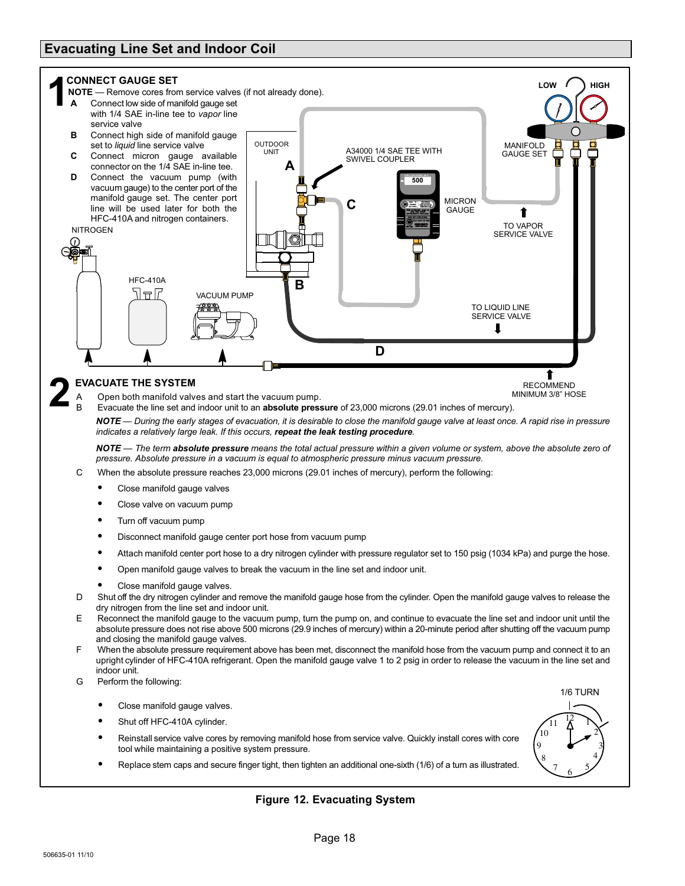# <span id="page-17-0"></span>Evacuating Line Set and Indoor Coil



Replace stem caps and secure finger tight, then tighten an additional one−sixth (1/6) of a turn as illustrated.



## Figure 12. Evacuating System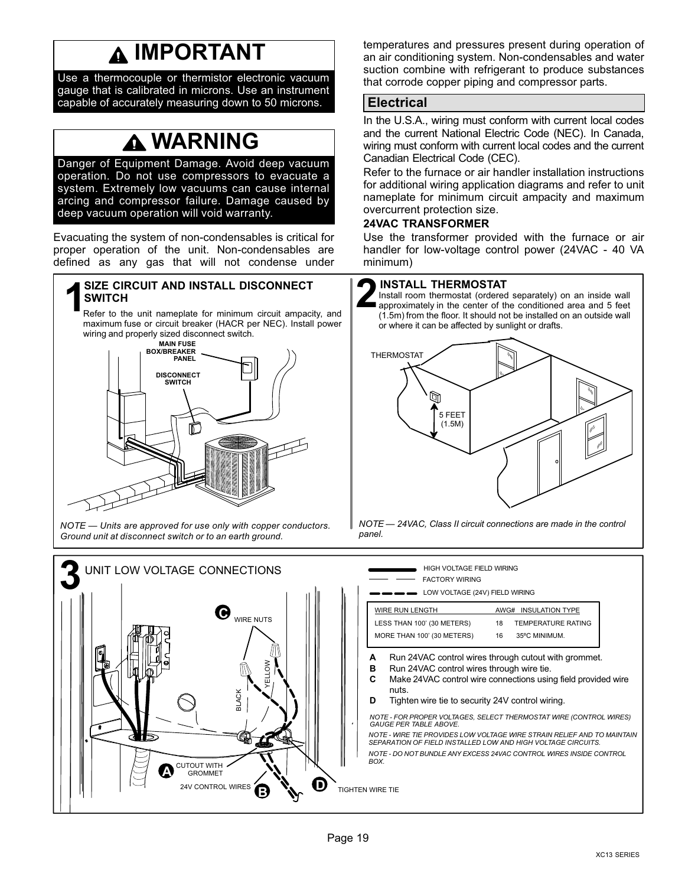# IMPORTANT

<span id="page-18-0"></span>Use a thermocouple or thermistor electronic vacuum gauge that is calibrated in microns. Use an instrument capable of accurately measuring down to 50 microns.

# WARNING

Danger of Equipment Damage. Avoid deep vacuum operation. Do not use compressors to evacuate a system. Extremely low vacuums can cause internal arcing and compressor failure. Damage caused by deep vacuum operation will void warranty.

Evacuating the system of non−condensables is critical for proper operation of the unit. Non−condensables are defined as any gas that will not condense under

# SIZE CIRCUIT AND INSTALL DISCONNECT<br>
Refer to the unit nameplate for minimum circuit ampacity, and

maximum fuse or circuit breaker (HACR per NEC). Install power wiring and properly sized disconnect switch.<br>
MAIN FUSE



NOTE - Units are approved for use only with copper conductors. Ground unit at disconnect switch or to an earth ground.

temperatures and pressures present during operation of an air conditioning system. Non−condensables and water suction combine with refrigerant to produce substances that corrode copper piping and compressor parts.

# **Electrical**

In the U.S.A., wiring must conform with current local codes and the current National Electric Code (NEC). In Canada, wiring must conform with current local codes and the current Canadian Electrical Code (CEC).

Refer to the furnace or air handler installation instructions for additional wiring application diagrams and refer to unit nameplate for minimum circuit ampacity and maximum overcurrent protection size.

### 24VAC TRANSFORMER

Use the transformer provided with the furnace or air handler for low-voltage control power (24VAC − 40 VA minimum)

### INSTALL THERMOSTAT

Install room thermostat (ordered separately) on an inside wall approximately in the center of the conditioned area and 5 feet (1.5m) from the floor. It should not be installed on an outside wall or where it can be affected by sunlight or drafts.



NOTE - 24VAC, Class II circuit connections are made in the control panel.

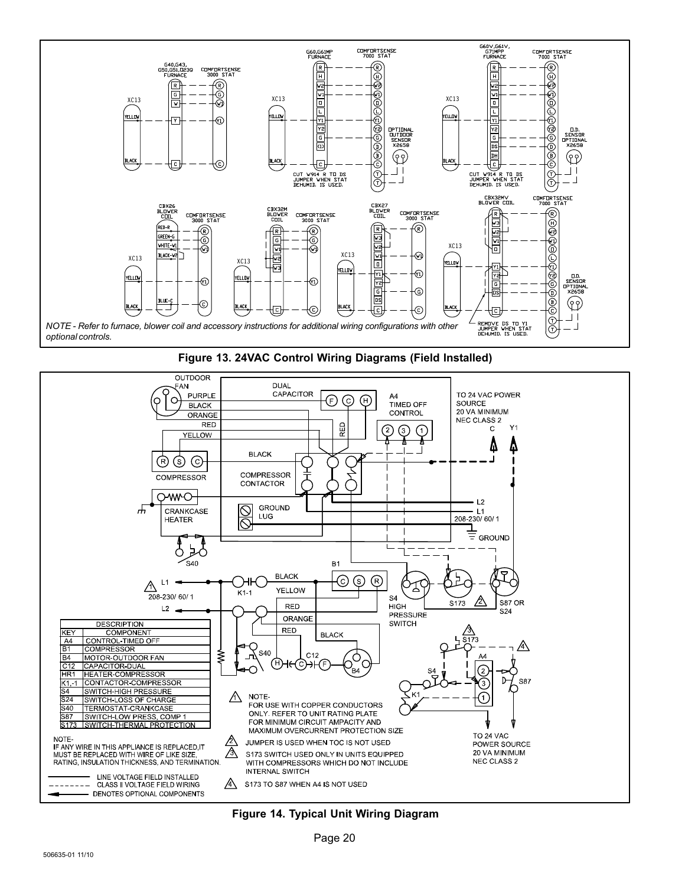





Figure 14. Typical Unit Wiring Diagram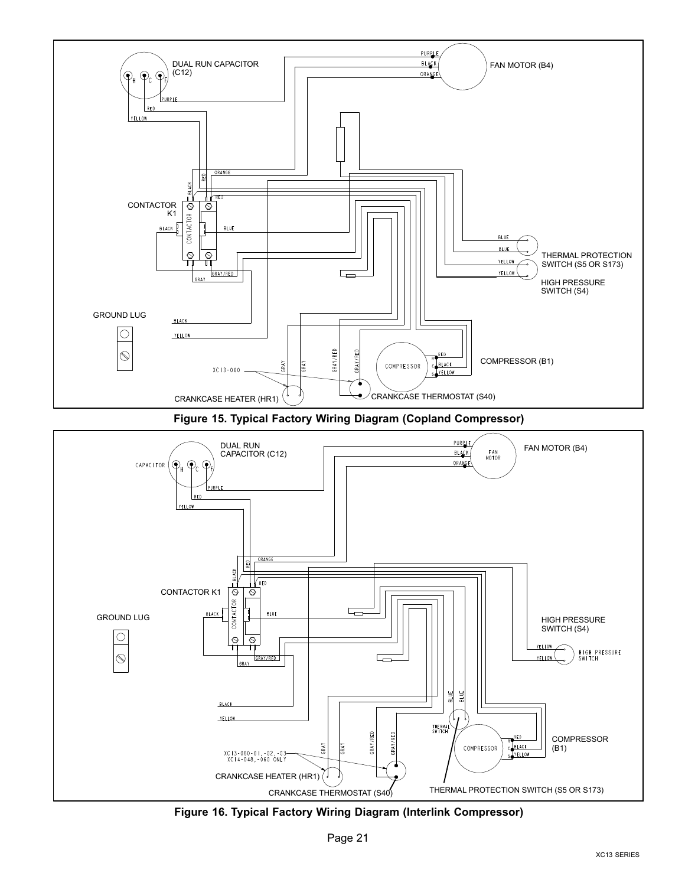

Figure 15. Typical Factory Wiring Diagram (Copland Compressor)



Figure 16. Typical Factory Wiring Diagram (Interlink Compressor)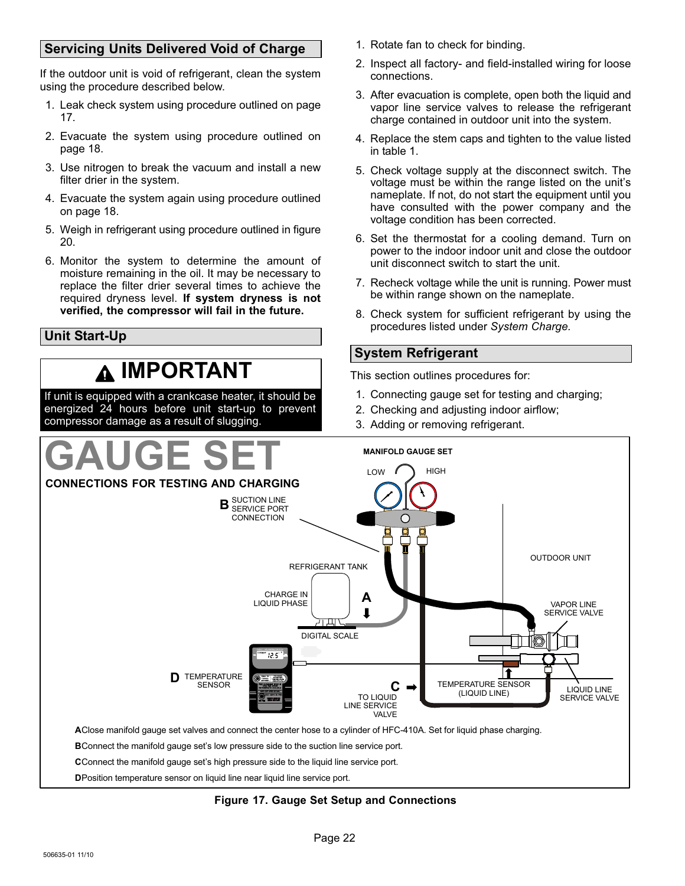# <span id="page-21-0"></span>Servicing Units Delivered Void of Charge

If the outdoor unit is void of refrigerant, clean the system using the procedure described below.

- 1. Leak check system using procedure outlined on page [17.](#page-16-0)
- 2. Evacuate the system using procedure outlined on page [18.](#page-17-0)
- 3. Use nitrogen to break the vacuum and install a new filter drier in the system.
- 4. Evacuate the system again using procedure outlined on page [18.](#page-17-0)
- 5. Weigh in refrigerant using procedure outlined in figure [20.](#page-22-0)
- 6. Monitor the system to determine the amount of moisture remaining in the oil. It may be necessary to replace the filter drier several times to achieve the required dryness level. If system dryness is not verified, the compressor will fail in the future.

# Unit Start−Up

# IMPORTANT

If unit is equipped with a crankcase heater, it should be energized 24 hours before unit start−up to prevent compressor damage as a result of slugging.

- 1. Rotate fan to check for binding.
- 2. Inspect all factory− and field−installed wiring for loose connections.
- 3. After evacuation is complete, open both the liquid and vapor line service valves to release the refrigerant charge contained in outdoor unit into the system.
- 4. Replace the stem caps and tighten to the value listed in table [1.](#page-3-0)
- 5. Check voltage supply at the disconnect switch. The voltage must be within the range listed on the unit's nameplate. If not, do not start the equipment until you have consulted with the power company and the voltage condition has been corrected.
- 6. Set the thermostat for a cooling demand. Turn on power to the indoor indoor unit and close the outdoor unit disconnect switch to start the unit.
- 7. Recheck voltage while the unit is running. Power must be within range shown on the nameplate.
- 8. Check system for sufficient refrigerant by using the procedures listed under System Charge.

# System Refrigerant

This section outlines procedures for:

- 1. Connecting gauge set for testing and charging;
- 2. Checking and adjusting indoor airflow;
- 3. Adding or removing refrigerant.



### Figure 17. Gauge Set Setup and Connections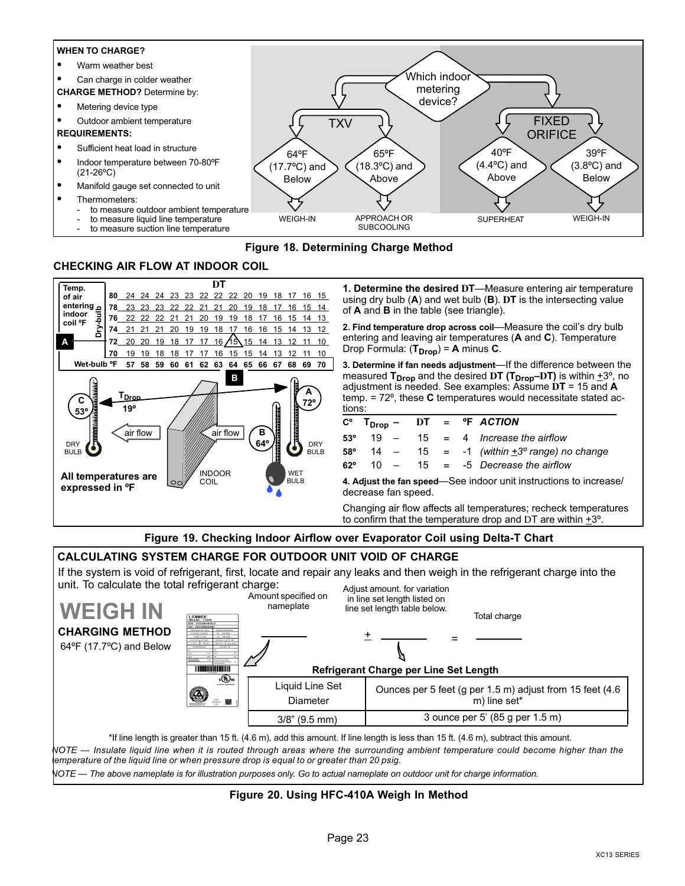#### <span id="page-22-0"></span>WHEN TO CHARGE?

- Warm weather best
- Can charge in colder weather

CHARGE METHOD? Determine by:

- Metering device type
- Outdoor ambient temperature

#### REQUIREMENTS:

- Sufficient heat load in structure
- Indoor temperature between 70-80ºF (21−26ºC)
- Manifold gauge set connected to unit
- Thermometers:
	- to measure outdoor ambient temperature
	- to measure liquid line temperature
	- to measure suction line temperature



### Figure 18. Determining Charge Method

### CHECKING AIR FLOW AT INDOOR COIL



**1. Determine the desired DT**—Measure entering air temperature using dry bulb (A) and wet bulb (B). **D**T is the intersecting value of A and B in the table (see triangle).

2. Find temperature drop across coil—Measure the coil's dry bulb entering and leaving air temperatures (A and C). Temperature Drop Formula:  $(T_{Drop}) = A$  minus C.

3. Determine if fan needs adjustment—If the difference between the measured T<sub>Drop</sub> and the desired DT (T<sub>Drop</sub>-DT) is within  $\pm 3^{\circ}$ , no adjustment is needed. See examples: Assume **D**T = 15 and A temp.  $= 72^{\circ}$ , these **C** temperatures would necessitate stated actions:

|            |                                                                   |  |  |  |  | $C^{\circ}$ T <sub>Drop</sub> - DT = ${}^{\circ}$ F ACTION |  |  |  |  |
|------------|-------------------------------------------------------------------|--|--|--|--|------------------------------------------------------------|--|--|--|--|
| $53^\circ$ |                                                                   |  |  |  |  | $19 - 15 = 4$ Increase the airflow                         |  |  |  |  |
| 58°        |                                                                   |  |  |  |  | 14 – 15 = -1 (within $\pm 3^{\circ}$ range) no change      |  |  |  |  |
| $62^\circ$ |                                                                   |  |  |  |  | $10 - 15 = -5$ Decrease the airflow                        |  |  |  |  |
|            | 4. Adjust the fan speed-See indoor unit instructions to increase/ |  |  |  |  |                                                            |  |  |  |  |

decrease fan speed.

Changing air flow affects all temperatures; recheck temperatures to confirm that the temperature drop and DT are within +3º.

### Figure 19. Checking Indoor Airflow over Evaporator Coil using Delta−T Chart

#### CALCULATING SYSTEM CHARGE FOR OUTDOOR UNIT VOID OF CHARGE

If the system is void of refrigerant, first, locate and repair any leaks and then weigh in the refrigerant charge into the unit. To calculate the total refrigerant charge: Adjust amount. for variation

| <b>WEIGH IN</b><br><b>CHARGING METHOD</b><br>$64^{\circ}$ F (17.7 $^{\circ}$ C) and Below | LENNOX<br>PALLAS, TEXAS<br>MAI TEACHRAINIC<br>RIN PPYYMINININI<br>OTAGLARAS HECULENIA<br>FACEORY ONABO<br>M AM REG<br># use 9 oct.<br><b>BJCORDA BATEC</b><br><b>NOMBAS VOLT/5 653</b><br>2M<br>COMPRESSOR<br>PANADOOR<br><b>AGSARITY</b><br><b>BOAT CAR ON CAT BOAT</b> |                             | 1.41<br>in line set length listed on<br>line set length table below.<br><b>Refrigerant Charge per Line Set Length</b>              | Total charge                                                             |
|-------------------------------------------------------------------------------------------|--------------------------------------------------------------------------------------------------------------------------------------------------------------------------------------------------------------------------------------------------------------------------|-----------------------------|------------------------------------------------------------------------------------------------------------------------------------|--------------------------------------------------------------------------|
|                                                                                           | ւ⊕ա                                                                                                                                                                                                                                                                      |                             |                                                                                                                                    |                                                                          |
|                                                                                           | ATMILIARY COMMUNICATION<br>$\circledS$<br>離る                                                                                                                                                                                                                             | Liquid Line Set<br>Diameter |                                                                                                                                    | Ounces per 5 feet (g per 1.5 m) adjust from 15 feet (4.6<br>m) line set* |
|                                                                                           |                                                                                                                                                                                                                                                                          | $3/8$ " (9.5 mm)            |                                                                                                                                    | 3 ounce per 5' (85 g per 1.5 m)                                          |
|                                                                                           |                                                                                                                                                                                                                                                                          |                             | *If line length is greater than 15 ft. (4.6 m), add this amount. If line length is less than 15 ft. (4.6 m), subtract this amount. |                                                                          |

NOTE — Insulate liquid line when it is routed through areas where the surrounding ambient temperature could become higher than the temperature of the liquid line or when pressure drop is equal to or greater than 20 psig.

NOTE — The above nameplate is for illustration purposes only. Go to actual nameplate on outdoor unit for charge information.

#### Figure 20. Using HFC−410A Weigh In Method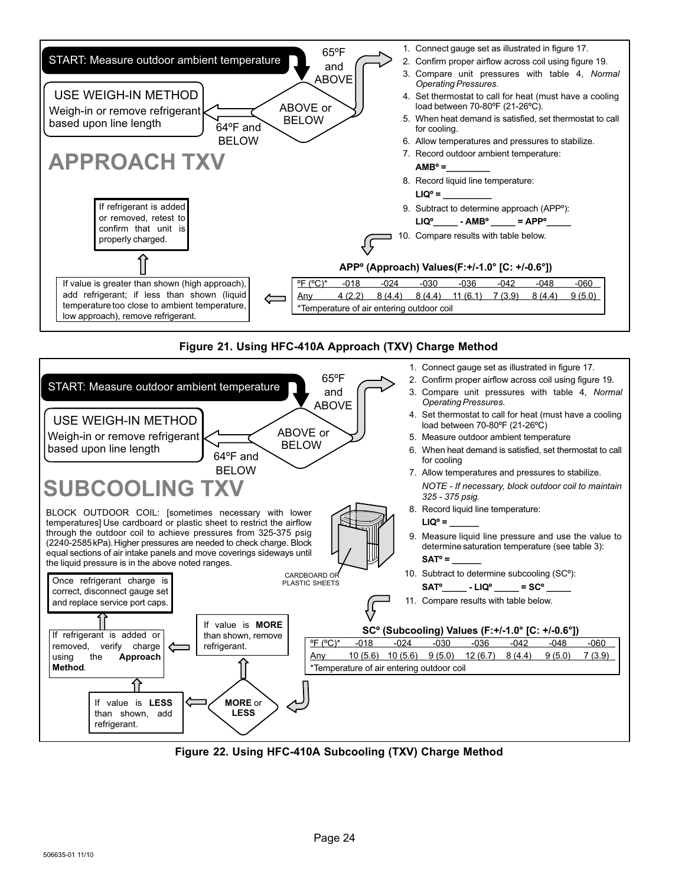

### Figure 21. Using HFC−410A Approach (TXV) Charge Method



Figure 22. Using HFC−410A Subcooling (TXV) Charge Method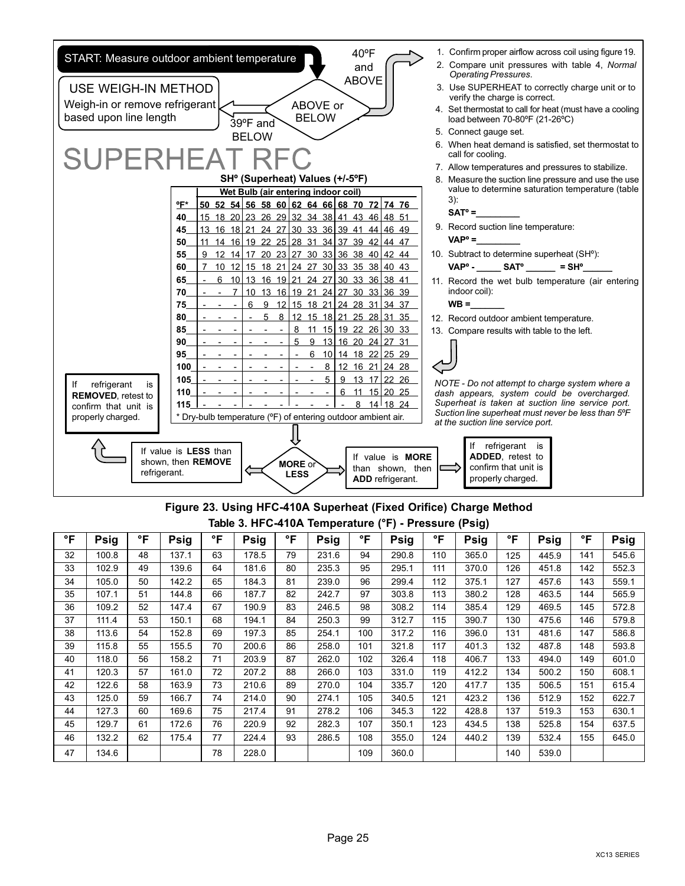<span id="page-24-0"></span>

### Figure 23. Using HFC−410A Superheat (Fixed Orifice) Charge Method Table 3. HFC−410A Temperature (°F) − Pressure (Psig)

| °F | Psig  | °F | Psig  | °F | Psig  | °F | Psig  | °F  | Psig  | °F  | Psig  | °F  | <b>Psig</b> | °F  | <b>Psig</b> |
|----|-------|----|-------|----|-------|----|-------|-----|-------|-----|-------|-----|-------------|-----|-------------|
| 32 | 100.8 | 48 | 137.1 | 63 | 178.5 | 79 | 231.6 | 94  | 290.8 | 110 | 365.0 | 125 | 445.9       | 141 | 545.6       |
| 33 | 102.9 | 49 | 139.6 | 64 | 181.6 | 80 | 235.3 | 95  | 295.1 | 111 | 370.0 | 126 | 451.8       | 142 | 552.3       |
| 34 | 105.0 | 50 | 142.2 | 65 | 184.3 | 81 | 239.0 | 96  | 299.4 | 112 | 375.1 | 127 | 457.6       | 143 | 559.1       |
| 35 | 107.1 | 51 | 144.8 | 66 | 187.7 | 82 | 242.7 | 97  | 303.8 | 113 | 380.2 | 128 | 463.5       | 144 | 565.9       |
| 36 | 109.2 | 52 | 147.4 | 67 | 190.9 | 83 | 246.5 | 98  | 308.2 | 114 | 385.4 | 129 | 469.5       | 145 | 572.8       |
| 37 | 111.4 | 53 | 150.1 | 68 | 194.1 | 84 | 250.3 | 99  | 312.7 | 115 | 390.7 | 130 | 475.6       | 146 | 579.8       |
| 38 | 113.6 | 54 | 152.8 | 69 | 197.3 | 85 | 254.1 | 100 | 317.2 | 116 | 396.0 | 131 | 481.6       | 147 | 586.8       |
| 39 | 115.8 | 55 | 155.5 | 70 | 200.6 | 86 | 258.0 | 101 | 321.8 | 117 | 401.3 | 132 | 487.8       | 148 | 593.8       |
| 40 | 118.0 | 56 | 158.2 | 71 | 203.9 | 87 | 262.0 | 102 | 326.4 | 118 | 406.7 | 133 | 494.0       | 149 | 601.0       |
| 41 | 120.3 | 57 | 161.0 | 72 | 207.2 | 88 | 266.0 | 103 | 331.0 | 119 | 412.2 | 134 | 500.2       | 150 | 608.1       |
| 42 | 122.6 | 58 | 163.9 | 73 | 210.6 | 89 | 270.0 | 104 | 335.7 | 120 | 417.7 | 135 | 506.5       | 151 | 615.4       |
| 43 | 125.0 | 59 | 166.7 | 74 | 214.0 | 90 | 274.1 | 105 | 340.5 | 121 | 423.2 | 136 | 512.9       | 152 | 622.7       |
| 44 | 127.3 | 60 | 169.6 | 75 | 217.4 | 91 | 278.2 | 106 | 345.3 | 122 | 428.8 | 137 | 519.3       | 153 | 630.1       |
| 45 | 129.7 | 61 | 172.6 | 76 | 220.9 | 92 | 282.3 | 107 | 350.1 | 123 | 434.5 | 138 | 525.8       | 154 | 637.5       |
| 46 | 132.2 | 62 | 175.4 | 77 | 224.4 | 93 | 286.5 | 108 | 355.0 | 124 | 440.2 | 139 | 532.4       | 155 | 645.0       |
| 47 | 134.6 |    |       | 78 | 228.0 |    |       | 109 | 360.0 |     |       | 140 | 539.0       |     |             |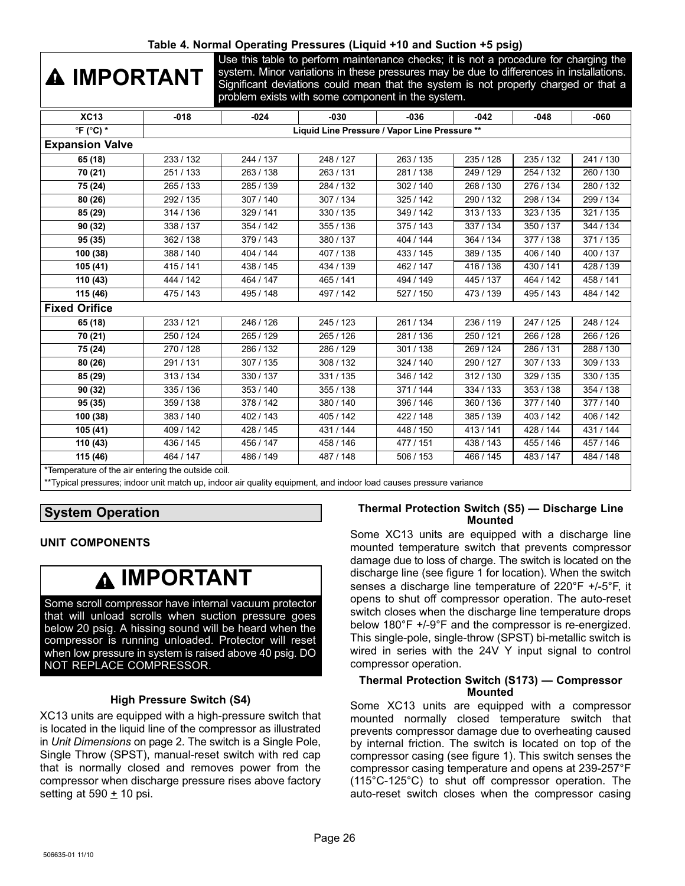### Table 4. Normal Operating Pressures (Liquid +10 and Suction +5 psig)

# <span id="page-25-0"></span>IMPORTANT

Use this table to perform maintenance checks; it is not a procedure for charging the system. Minor variations in these pressures may be due to differences in installations. Significant deviations could mean that the system is not properly charged or that a problem exists with some component in the system.

| <b>XC13</b>                                       | $-018$                                        | $-024$    | $-030$    | $-036$    | -042      | $-048$    | -060                  |  |  |  |
|---------------------------------------------------|-----------------------------------------------|-----------|-----------|-----------|-----------|-----------|-----------------------|--|--|--|
| $\mathrm{P}F$ (°C) *                              | Liquid Line Pressure / Vapor Line Pressure ** |           |           |           |           |           |                       |  |  |  |
| <b>Expansion Valve</b>                            |                                               |           |           |           |           |           |                       |  |  |  |
| 65 (18)                                           | 233 / 132                                     | 244 / 137 | 248 / 127 | 263/135   | 235 / 128 | 235/132   | 241/130               |  |  |  |
| 70 (21)                                           | 251/133                                       | 263 / 138 | 263/131   | 281/138   | 249 / 129 | 254 / 132 | 260 / 130             |  |  |  |
| 75 (24)                                           | 265 / 133                                     | 285 / 139 | 284 / 132 | 302 / 140 | 268 / 130 | 276 / 134 | 280 / 132             |  |  |  |
| 80 (26)                                           | 292 / 135                                     | 307 / 140 | 307/134   | 325 / 142 | 290 / 132 | 298 / 134 | 299 / 134             |  |  |  |
| 85 (29)                                           | 314 / 136                                     | 329 / 141 | 330/135   | 349 / 142 | 313/133   | 323/135   | 321 / 135             |  |  |  |
| 90 (32)                                           | 338 / 137                                     | 354 / 142 | 355 / 136 | 375 / 143 | 337 / 134 | 350 / 137 | 344 / 134             |  |  |  |
| 95 (35)                                           | 362 / 138                                     | 379 / 143 | 380/137   | 404 / 144 | 364 / 134 | 377/138   | 371/135               |  |  |  |
| 100 (38)                                          | 388 / 140                                     | 404 / 144 | 407/138   | 433 / 145 | 389 / 135 | 406 / 140 | $\frac{1}{400}$ / 137 |  |  |  |
| 105(41)                                           | 415 / 141                                     | 438 / 145 | 434 / 139 | 462 / 147 | 416 / 136 | 430 / 141 | 428 / 139             |  |  |  |
| 110 (43)                                          | 444 / 142                                     | 464 / 147 | 465 / 141 | 494 / 149 | 445 / 137 | 464 / 142 | 458 / 141             |  |  |  |
| 115 (46)                                          | 475 / 143                                     | 495 / 148 | 497 / 142 | 527 / 150 | 473 / 139 | 495 / 143 | 484 / 142             |  |  |  |
| <b>Fixed Orifice</b>                              |                                               |           |           |           |           |           |                       |  |  |  |
| 65 (18)                                           | 233/121                                       | 246 / 126 | 245 / 123 | 261/134   | 236 / 119 | 247 / 125 | 248 / 124             |  |  |  |
| 70 (21)                                           | 250 / 124                                     | 265 / 129 | 265 / 126 | 281/136   | 250 / 121 | 266 / 128 | 266 / 126             |  |  |  |
| 75 (24)                                           | 270 / 128                                     | 286 / 132 | 286 / 129 | 301 / 138 | 269 / 124 | 286 / 131 | 288 / 130             |  |  |  |
| 80 (26)                                           | 291/131                                       | 307 / 135 | 308 / 132 | 324 / 140 | 290 / 127 | 307/133   | 309 / 133             |  |  |  |
| 85 (29)                                           | 313/134                                       | 330 / 137 | 331/135   | 346 / 142 | 312/130   | 329 / 135 | 330 / 135             |  |  |  |
| 90 (32)                                           | 335 / 136                                     | 353 / 140 | 355 / 138 | 371/144   | 334 / 133 | 353 / 138 | 354 / 138             |  |  |  |
| 95 (35)                                           | 359 / 138                                     | 378 / 142 | 380/140   | 396 / 146 | 360 / 136 | 377 / 140 | 377 / 140             |  |  |  |
| 100 (38)                                          | 383 / 140                                     | 402 / 143 | 405 / 142 | 422 / 148 | 385 / 139 | 403/142   | 406 / 142             |  |  |  |
| 105 (41)                                          | 409 / 142                                     | 428 / 145 | 431 / 144 | 448 / 150 | 413/141   | 428 / 144 | 431 / 144             |  |  |  |
| 110(43)                                           | 436 / 145                                     | 456 / 147 | 458 / 146 | 477 / 151 | 438 / 143 | 455 / 146 | 457 / 146             |  |  |  |
| 115 (46)                                          | 464 / 147                                     | 486 / 149 | 487 / 148 | 506 / 153 | 466 / 145 | 483/147   | 484 / 148             |  |  |  |
| *Temperature of the air entering the outside coil |                                               |           |           |           |           |           |                       |  |  |  |

\*Temperature of the air entering the outside coil.

\*\*Typical pressures; indoor unit match up, indoor air quality equipment, and indoor load causes pressure variance

### UNIT COMPONENTS

# IMPORTANT

Some scroll compressor have internal vacuum protector that will unload scrolls when suction pressure goes below 20 psig. A hissing sound will be heard when the compressor is running unloaded. Protector will reset when low pressure in system is raised above 40 psig. DO NOT REPLACE COMPRESSOR.

#### High Pressure Switch (S4)

XC13 units are equipped with a high-pressure switch that is located in the liquid line of the compressor as illustrated in Unit Dimensions on page [2](#page-1-0). The switch is a Single Pole, Single Throw (SPST), manual−reset switch with red cap that is normally closed and removes power from the compressor when discharge pressure rises above factory setting at 590  $\pm$  10 psi.

#### Thermal Protection Switch (S5) — Discharge Line Mounted

Some XC13 units are equipped with a discharge line mounted temperature switch that prevents compressor damage due to loss of charge. The switch is located on the discharge line (see figure 1 for location). When the switch senses a discharge line temperature of 220°F +/−5°F, it opens to shut off compressor operation. The auto−reset switch closes when the discharge line temperature drops below 180°F +/−9°F and the compressor is re−energized. This single−pole, single−throw (SPST) bi−metallic switch is wired in series with the 24V Y input signal to control compressor operation.

#### Thermal Protection Switch (S173) — Compressor **Mounted**

Some XC13 units are equipped with a compressor mounted normally closed temperature switch that prevents compressor damage due to overheating caused by internal friction. The switch is located on top of the compressor casing (see figure 1). This switch senses the compressor casing temperature and opens at 239−257°F (115°C−125°C) to shut off compressor operation. The auto−reset switch closes when the compressor casing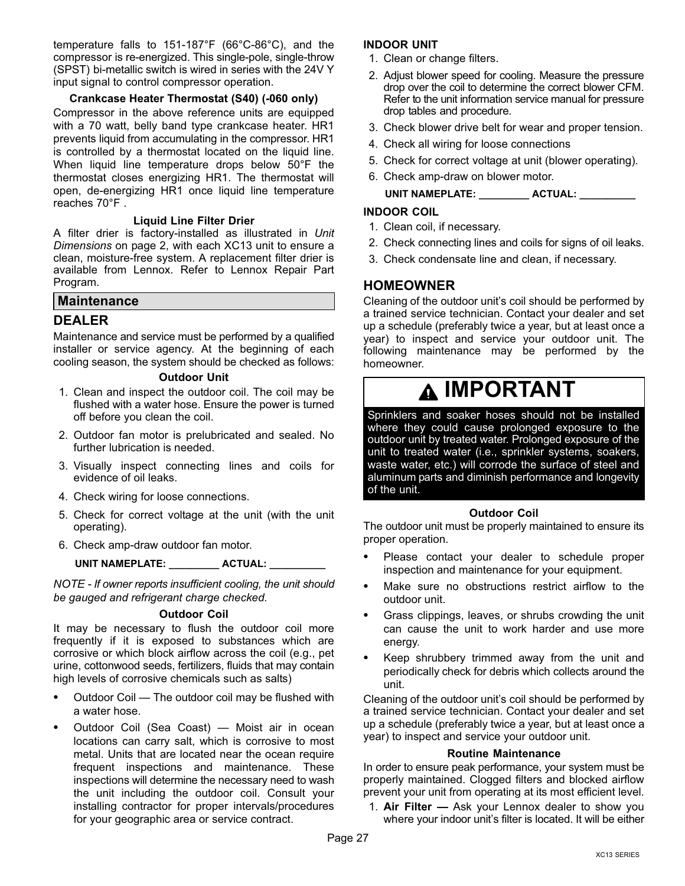<span id="page-26-0"></span>temperature falls to 151−187°F (66°C−86°C), and the compressor is re−energized. This single−pole, single−throw (SPST) bi−metallic switch is wired in series with the 24V Y input signal to control compressor operation.

### Crankcase Heater Thermostat (S40) (−060 only)

Compressor in the above reference units are equipped with a 70 watt, belly band type crankcase heater. HR1 prevents liquid from accumulating in the compressor. HR1 is controlled by a thermostat located on the liquid line. When liquid line temperature drops below 50°F the thermostat closes energizing HR1. The thermostat will open, de−energizing HR1 once liquid line temperature reaches 70°F .

#### Liquid Line Filter Drier

A filter drier is factory-installed as illustrated in Unit Dimensions on page [2](#page-1-0), with each XC13 unit to ensure a clean, moisture−free system. A replacement filter drier is available from Lennox. Refer to Lennox Repair Part Program.

### **Maintenance**

### DEALER

Maintenance and service must be performed by a qualified installer or service agency. At the beginning of each cooling season, the system should be checked as follows:

#### Outdoor Unit

- 1. Clean and inspect the outdoor coil. The coil may be flushed with a water hose. Ensure the power is turned off before you clean the coil.
- 2. Outdoor fan motor is prelubricated and sealed. No further lubrication is needed.
- 3. Visually inspect connecting lines and coils for evidence of oil leaks.
- 4. Check wiring for loose connections.
- 5. Check for correct voltage at the unit (with the unit operating).
- 6. Check amp−draw outdoor fan motor.

### UNIT NAMEPLATE: \_\_\_\_\_\_\_\_\_\_ ACTUAL: \_\_

NOTE − If owner reports insufficient cooling, the unit should be gauged and refrigerant charge checked.

#### Outdoor Coil

It may be necessary to flush the outdoor coil more frequently if it is exposed to substances which are corrosive or which block airflow across the coil (e.g., pet urine, cottonwood seeds, fertilizers, fluids that may contain high levels of corrosive chemicals such as salts)

- Outdoor Coil The outdoor coil may be flushed with a water hose.
- Outdoor Coil (Sea Coast) Moist air in ocean locations can carry salt, which is corrosive to most metal. Units that are located near the ocean require frequent inspections and maintenance. These inspections will determine the necessary need to wash the unit including the outdoor coil. Consult your installing contractor for proper intervals/procedures for your geographic area or service contract.

#### INDOOR UNIT

- 1. Clean or change filters.
- 2. Adjust blower speed for cooling. Measure the pressure drop over the coil to determine the correct blower CFM. Refer to the unit information service manual for pressure drop tables and procedure.
- 3. Check blower drive belt for wear and proper tension.
- 4. Check all wiring for loose connections
- 5. Check for correct voltage at unit (blower operating).
- 6. Check amp−draw on blower motor.

### UNIT NAMEPLATE: \_\_\_\_\_\_\_\_\_\_ ACTUAL: \_\_\_\_\_\_\_\_\_

#### INDOOR COIL

- 1. Clean coil, if necessary.
- 2. Check connecting lines and coils for signs of oil leaks.
- 3. Check condensate line and clean, if necessary.

### HOMEOWNER

Cleaning of the outdoor unit's coil should be performed by a trained service technician. Contact your dealer and set up a schedule (preferably twice a year, but at least once a year) to inspect and service your outdoor unit. The following maintenance may be performed by the homeowner.

# IMPORTANT

Sprinklers and soaker hoses should not be installed where they could cause prolonged exposure to the outdoor unit by treated water. Prolonged exposure of the unit to treated water (i.e., sprinkler systems, soakers, waste water, etc.) will corrode the surface of steel and aluminum parts and diminish performance and longevity of the unit.

#### Outdoor Coil

The outdoor unit must be properly maintained to ensure its proper operation.

- Please contact your dealer to schedule proper inspection and maintenance for your equipment.
- Make sure no obstructions restrict airflow to the outdoor unit.
- Grass clippings, leaves, or shrubs crowding the unit can cause the unit to work harder and use more energy.
- Keep shrubbery trimmed away from the unit and periodically check for debris which collects around the unit.

Cleaning of the outdoor unit's coil should be performed by a trained service technician. Contact your dealer and set up a schedule (preferably twice a year, but at least once a year) to inspect and service your outdoor unit.

#### Routine Maintenance

In order to ensure peak performance, your system must be properly maintained. Clogged filters and blocked airflow prevent your unit from operating at its most efficient level.

1. Air Filter  $-$  Ask your Lennox dealer to show you where your indoor unit's filter is located. It will be either